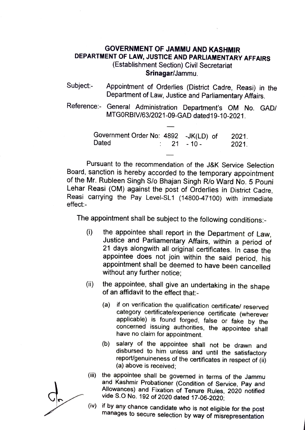## GOVERNMENT OF JAMMU AND KASHMIR DEPARTMENT OF LAW, JUSTICE AND PARLIAMENTARY AFFAIRS (Establishment Section) Civil Secretariat

Srinagar/Jammu.

- Subject:- Appointment of Orderlies (District Cadre, Reasi) in the Department of Law, Justice and Parliamentary Affairs
- Reference: General Administration Department's OM No. GAD/ MTGORBIV/63/2021-09-GAD dated19-10-2021.

| Government Order No: 4892 -JK(LD) of |             |  | 2021. |
|--------------------------------------|-------------|--|-------|
| Dated                                | $: 21 - 10$ |  | 2021. |

Pursuant to the recommendation of the J&K Service Selection Board, sanction is hereby accorded to the temporary appointment of the Mr. Rubleen Singh S/o Bhajan Singh R/o Ward No. 5 Pouni Lehar Reasi (OM) against the post of Orderlies in District Cadre, Reasi carrying the Pay Level-SL1 (14800-47100) with immediate effect:-

The appointment shall be subject to the following conditions.

- the appointee shall report in the Department of Law, Justice and Parliamentary Affairs, within a period of 21 days alongwith all original certificates. In case the appointee does not join within the said period, his appointment shall be deemed to have been cancelled without any further notice;  $(i)$
- (i) the appointee, shall give an undertaking in the shape of an affidavit to the effect that-
	- (a) if on verification the qualification certificate/ reserved applicable) is found forged, false or fake by the concerned issuing authorities, the appointee shall have no claim for appointment.
	- (b) salary of the appointee shall not be drawn and report/genuineness of the certificates in respect of (ii) (a) above is received
- (ii) the appointee shall be governed in terms of the Jammu and Kashmir Probationer (Condition of Service, Pay and Allowances) and Fixation of Tenure Rules, 2020 notified
- vide S.O No. 192 of 2020 dated 17-06-2020;<br>if by any chance candidate who is not eligible for the post (iv) if by any chance candidate who is not eligible for the post manages to secure selection by way of misrepresentation

d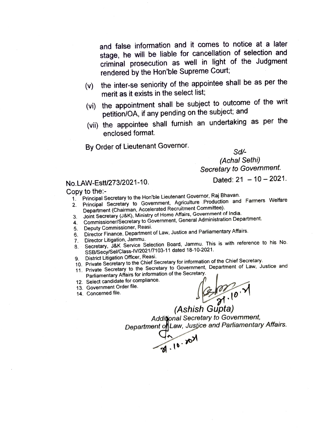and false information and it comes to notice at a later stage, he will be liable for cancellation of selection and criminal prosecution as well in light of the Judgment rendered by the Hon'ble Supreme Court;

- (v) the inter-se seniority of the appointee shall be as per the merit as it exists in the select list;
- (vi) the appointment shall be subject to outcome of the writ petition/OA, if any pending on the subject; and
- (vii) the appointee shall furnish an undertaking as per the enclosed format.

By Order of Lieutenant Governor.

Sd

(Achal Sethi) Secretary to Govemment.

Dated:  $21 - 10 - 2021$ .

## No.LAW-Estt/273/2021-10.

- Copy to the Principal Secretary to the Hon'ble Lieutenant Governor, Raj Bhavan.
	- 1. Principal Secretary to the Hornbic Electronian Agriculture Production and Farmers Welfare<br>2. Principal Secretary to Government, Agriculture Production and Farmers Welfare Department (Chairman, Accelerated Recruitment Committee).
	- 3. Joint Secretary (J&K), Ministry of Home Affairs, Government of India.
	- Commissioner/Secretary to Government, General Administration Department. 4.
	- 5. Deputy Commissioner, Reasi.
	- . Director Finance, Department of Law, Justice and Parliamentary Affairs.
	- Director Litigation, Jammu.
	- 7. Director Litigation, Jammu.<br>8. Secretary, J&K Service Selection Board, Jammu. This is with reference to his No. SSB/Secy/Sel/Class-IV/2021/7103-11 dated 18-10-2021. 8.
		- District Litigation Officer, Reasi.
	- 10. Private Secretary to the Chief Secretary for information of the Chief Secretary. 9.
	- 11. Private Secretary to the Secretary to Government, Department of Law, Justice and Parliamentary Affairs for information of the Secretary.
	- 12. Select candidate for compliance.
	- 13. Government Order file.
	- 14. Concerned file.

 $31.10 \t{1}$ 

(Ashish Gupta) Additjonal Secretany to Govemment, Department of Law, Justice and Parliamentary Affairs.<br>  $\begin{pmatrix} 0 & \sqrt{3} \\ 0 & \sqrt{3} \end{pmatrix}$